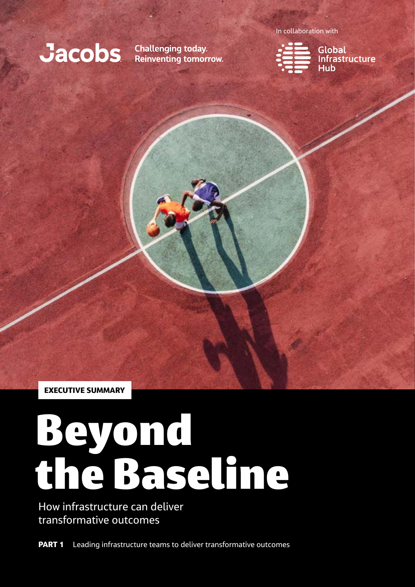# **Jacobs** Challenging today.

Reinventing tomorrow.

In collaboration with



Global<br>Infrastructure<br>Hub

EXECUTIVE SUMMARY

# Beyond the Baseline

How infrastructure can deliver transformative outcomes

**PART 1** Leading infrastructure teams to deliver transformative outcomes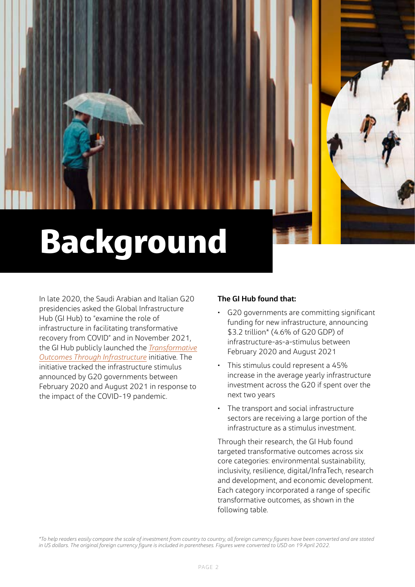# Background

In late 2020, the Saudi Arabian and Italian G20 presidencies asked the Global Infrastructure Hub (GI Hub) to "examine the role of infrastructure in facilitating transformative recovery from COVID" and in November 2021, the GI Hub publicly launched the *[Transformative](https://transformativeinfratracker.gihub.org/)  [Outcomes Through Infrastructure](https://transformativeinfratracker.gihub.org/)* initiative. The initiative tracked the infrastructure stimulus announced by G20 governments between February 2020 and August 2021 in response to the impact of the COVID-19 pandemic[.](https://transformativeinfratracker.gihub.org/)

## **The GI Hub found that:**

- G20 governments are committing significant funding for new infrastructure, announcing \$3.2 trillion\* (4.6% of G20 GDP) of infrastructure-as-a-stimulus between February 2020 and August 2021
- µ This stimulus could represent a 45% increase in the average yearly infrastructure investment across the G20 if spent over the next two years
- µ The transport and social infrastructure sectors are receiving a large portion of the infrastructure as a stimulus investment.

Through their research, the GI Hub found targeted transformative outcomes across six core categories: environmental sustainability, inclusivity, resilience, digital/InfraTech, research and development, and economic development. Each category incorporated a range of specific transformative outcomes, as shown in the following table.

*\*To help readers easily compare the scale of investment from country to country, all foreign currency figures have been converted and are stated in US dollars. The original foreign currency figure is included in parentheses. Figures were converted to USD on 19 April 2022.*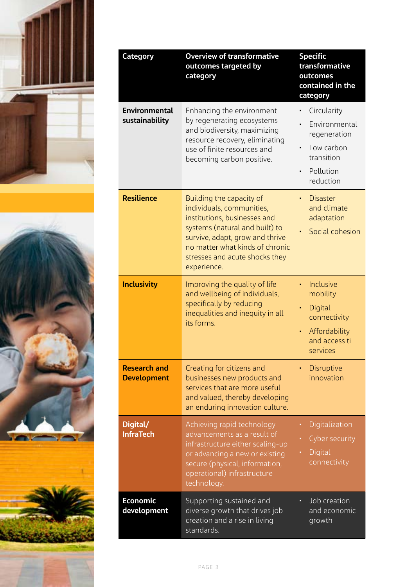



| Category                                  | <b>Overview of transformative</b><br>outcomes targeted by<br>category                                                                                                                                                                          | <b>Specific</b><br>transformative<br>outcomes<br>contained in the<br>category                      |  |  |
|-------------------------------------------|------------------------------------------------------------------------------------------------------------------------------------------------------------------------------------------------------------------------------------------------|----------------------------------------------------------------------------------------------------|--|--|
| <b>Environmental</b><br>sustainability    | Enhancing the environment<br>by regenerating ecosystems<br>and biodiversity, maximizing<br>resource recovery, eliminating<br>use of finite resources and<br>becoming carbon positive.                                                          | Circularity<br>Environmental<br>regeneration<br>Low carbon<br>transition<br>Pollution<br>reduction |  |  |
| <b>Resilience</b>                         | Building the capacity of<br>individuals, communities,<br>institutions, businesses and<br>systems (natural and built) to<br>survive, adapt, grow and thrive<br>no matter what kinds of chronic<br>stresses and acute shocks they<br>experience. | <b>Disaster</b><br>and climate<br>adaptation<br>Social cohesion                                    |  |  |
| <b>Inclusivity</b>                        | Improving the quality of life<br>and wellbeing of individuals,<br>specifically by reducing<br>inequalities and inequity in all<br>its forms.                                                                                                   | Inclusive<br>mobility<br>Digital<br>connectivity<br>Affordability<br>and access ti<br>services     |  |  |
| <b>Research and</b><br><b>Development</b> | Creating for citizens and<br>businesses new products and<br>services that are more useful<br>and valued, thereby developing<br>an enduring innovation culture.                                                                                 | <b>Disruptive</b><br>innovation                                                                    |  |  |
| Digital/<br><b>InfraTech</b>              | Achieving rapid technology<br>advancements as a result of<br>infrastructure either scaling-up<br>or advancing a new or existing<br>secure (physical, information,<br>operational) infrastructure<br>technology.                                | Digitalization<br>Cyber security<br>Digital<br>connectivity                                        |  |  |
| <b>Economic</b><br>development            | Supporting sustained and<br>diverse growth that drives job<br>creation and a rise in living<br>standards.                                                                                                                                      | Job creation<br>and economic<br>growth                                                             |  |  |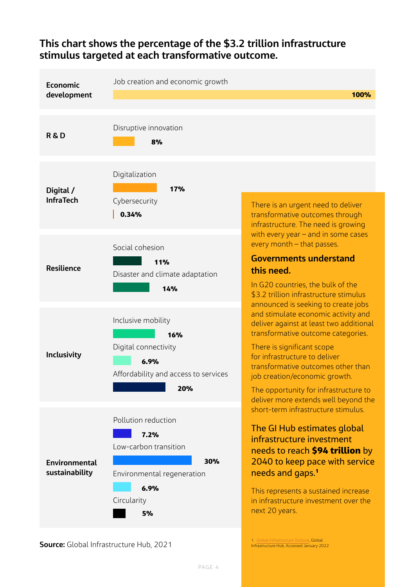

## **This chart shows the percentage of the \$3.2 trillion infrastructure stimulus targeted at each transformative outcome.**

**Source:** Global Infrastructure Hub, 2021

PAGE 4

Infrastructure Hub, Accessed January 2022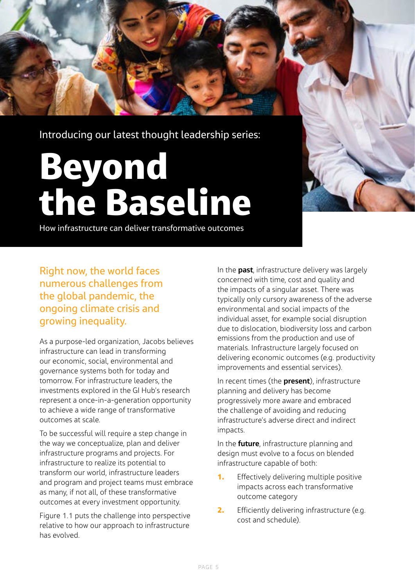

# Beyond the Baseline

How infrastructure can deliver transformative outcomes

Right now, the world faces numerous challenges from the global pandemic, the ongoing climate crisis and growing inequality.

As a purpose-led organization, Jacobs believes infrastructure can lead in transforming our economic, social, environmental and governance systems both for today and tomorrow. For infrastructure leaders, the investments explored in the GI Hub's research represent a once-in-a-generation opportunity to achieve a wide range of transformative outcomes at scale.

To be successful will require a step change in the way we conceptualize, plan and deliver infrastructure programs and projects. For infrastructure to realize its potential to transform our world, infrastructure leaders and program and project teams must embrace as many, if not all, of these transformative outcomes at every investment opportunity.

Figure 1.1 puts the challenge into perspective relative to how our approach to infrastructure has evolved.

In the **past**, infrastructure delivery was largely concerned with time, cost and quality and the impacts of a singular asset. There was typically only cursory awareness of the adverse environmental and social impacts of the individual asset, for example social disruption due to dislocation, biodiversity loss and carbon emissions from the production and use of materials. Infrastructure largely focused on delivering economic outcomes (e.g. productivity improvements and essential services).

In recent times (the **present**), infrastructure planning and delivery has become progressively more aware and embraced the challenge of avoiding and reducing infrastructure's adverse direct and indirect impacts.

In the **future**, infrastructure planning and design must evolve to a focus on blended infrastructure capable of both:

- **1.** Effectively delivering multiple positive impacts across each transformative outcome category
- 2. Efficiently delivering infrastructure (e.g. cost and schedule).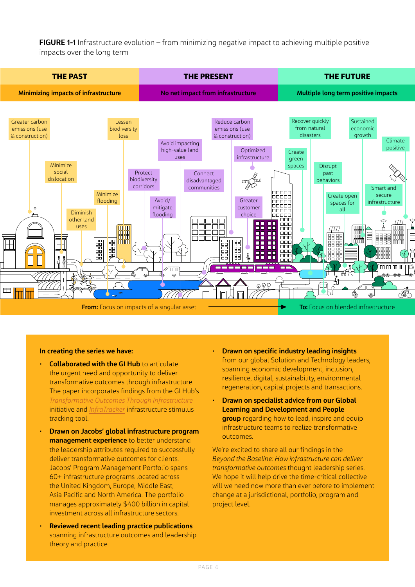**FIGURE 1-1** Infrastructure evolution – from minimizing negative impact to achieving multiple positive impacts over the long term



#### **In creating the series we have:**

- **Collaborated with the GI Hub** to articulate the urgent need and opportunity to deliver transformative outcomes through infrastructure. The paper incorporates findings from the GI Hub's *[Transformative Outcomes Through Infrastructure](https://transformativeinfratracker.gihub.org/overview/)* initiative and *[InfraTracker](https://transformativeinfratracker.gihub.org/infratracker-data/)* infrastructure stimulus tracking tool.
- µ **Drawn on Jacobs' global infrastructure program management experience** to better understand the leadership attributes required to successfully deliver transformative outcomes for clients. Jacobs' Program Management Portfolio spans 60+ infrastructure programs located across the United Kingdom, Europe, Middle East, Asia Pacific and North America. The portfolio manages approximately \$400 billion in capital investment across all infrastructure sectors.
- µ **Reviewed recent leading practice publications**  spanning infrastructure outcomes and leadership theory and practice.
- µ **Drawn on specific industry leading insights** from our global Solution and Technology leaders, spanning economic development, inclusion, resilience, digital, sustainability, environmental regeneration, capital projects and transactions.
- µ **Drawn on specialist advice from our Global Learning and Development and People group** regarding how to lead, inspire and equip infrastructure teams to realize transformative outcomes.

We're excited to share all our findings in the *Beyond the Baseline: How infrastructure can deliver transformative outcomes* thought leadership series. We hope it will help drive the time-critical collective will we need now more than ever before to implement change at a jurisdictional, portfolio, program and project level.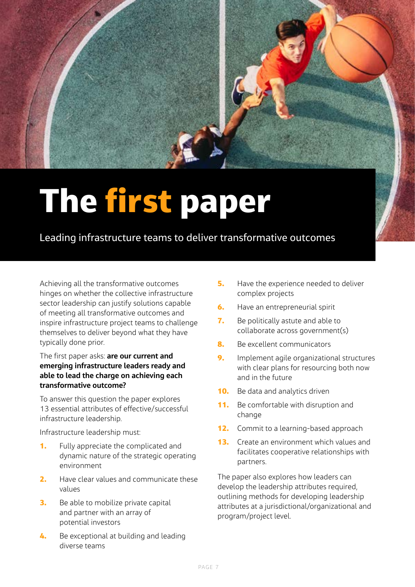

# The first paper

Leading infrastructure teams to deliver transformative outcomes

Achieving all the transformative outcomes hinges on whether the collective infrastructure sector leadership can justify solutions capable of meeting all transformative outcomes and inspire infrastructure project teams to challenge themselves to deliver beyond what they have typically done prior.

## The first paper asks: **are our current and emerging infrastructure leaders ready and able to lead the charge on achieving each transformative outcome?**

To answer this question the paper explores 13 essential attributes of effective/successful infrastructure leadership.

Infrastructure leadership must:

- **1.** Fully appreciate the complicated and dynamic nature of the strategic operating environment
- 2. Have clear values and communicate these values
- **3.** Be able to mobilize private capital and partner with an array of potential investors
- 4. Be exceptional at building and leading diverse teams
- **5.** Have the experience needed to deliver complex projects
- **6.** Have an entrepreneurial spirit
- **7.** Be politically astute and able to collaborate across government(s)
- 8. Be excellent communicators
- 9. Implement agile organizational structures with clear plans for resourcing both now and in the future
- **10.** Be data and analytics driven
- **11.** Be comfortable with disruption and change
- 12. Commit to a learning-based approach
- **13.** Create an environment which values and facilitates cooperative relationships with partners.

The paper also explores how leaders can develop the leadership attributes required, outlining methods for developing leadership attributes at a jurisdictional/organizational and program/project level.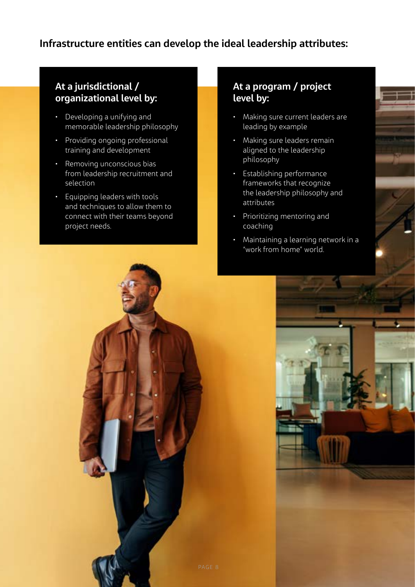## **Infrastructure entities can develop the ideal leadership attributes:**

## **At a jurisdictional / organizational level by:**

- µ Developing a unifying and memorable leadership philosophy
- Providing ongoing professional training and development
- Removing unconscious bias from leadership recruitment and selection
- **Equipping leaders with tools** and techniques to allow them to connect with their teams beyond project needs.

## **At a program / project level by:**

- Making sure current leaders are leading by example
- Making sure leaders remain aligned to the leadership philosophy
- µ Establishing performance frameworks that recognize the leadership philosophy and attributes
- µ Prioritizing mentoring and coaching
- Maintaining a learning network in a "work from home" world.

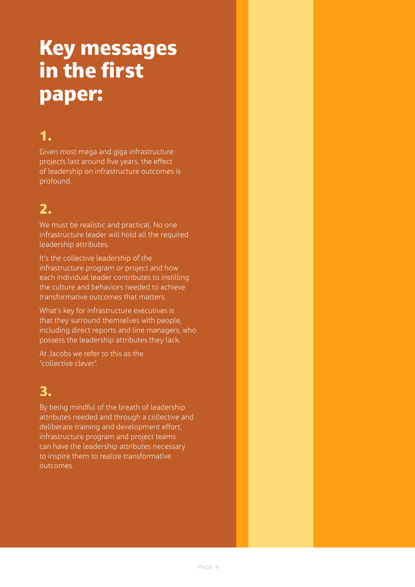# Key messages in the first paper:

# 1.

Given most mega and giga infrastructure projects last around five years, the effect of leadership on infrastructure outcomes is profound.

# 2.

We must be realistic and practical. No one infrastructure leader will hold all the required leadership attributes.

It's the collective leadership of the infrastructure program or project and how each individual leader contributes to instilling the culture and behaviors needed to achieve transformative outcomes that matters.

What's key for infrastructure executives is that they surround themselves with people, including direct reports and line managers, who possess the leadership attributes they lack.

At Jacobs we refer to this as the "collective clever".

## 3.

By being mindful of the breath of leadership attributes needed and through a collective and deliberate training and development effort, infrastructure program and project teams can have the leadership attributes necessary to inspire them to realize transformative outcomes.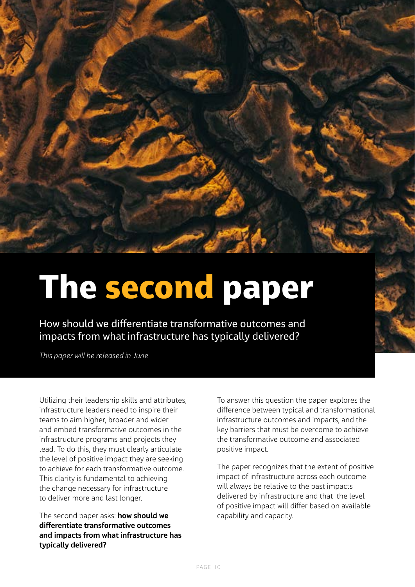

# The second paper

How should we differentiate transformative outcomes and impacts from what infrastructure has typically delivered?

*This paper will be released in June*

Utilizing their leadership skills and attributes, infrastructure leaders need to inspire their teams to aim higher, broader and wider and embed transformative outcomes in the infrastructure programs and projects they lead. To do this, they must clearly articulate the level of positive impact they are seeking to achieve for each transformative outcome. This clarity is fundamental to achieving the change necessary for infrastructure to deliver more and last longer.

The second paper asks: **how should we differentiate transformative outcomes and impacts from what infrastructure has typically delivered?** 

To answer this question the paper explores the difference between typical and transformational infrastructure outcomes and impacts, and the key barriers that must be overcome to achieve the transformative outcome and associated positive impact.

The paper recognizes that the extent of positive impact of infrastructure across each outcome will always be relative to the past impacts delivered by infrastructure and that the level of positive impact will differ based on available capability and capacity.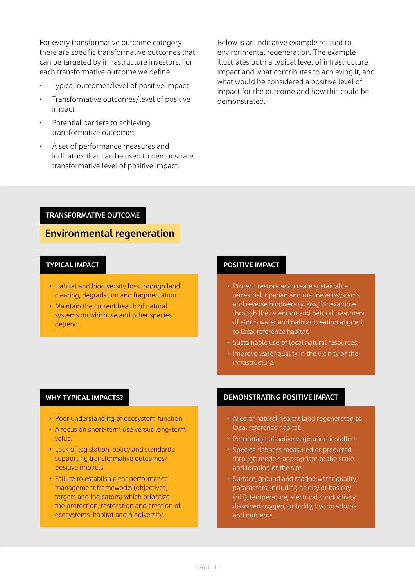For every transformative outcome category there are specific transformative outcomes that can be targeted by infrastructure investors. For each transformative outcome we define:

- Typical outcomes/level of positive impact
- Transformative outcomes/level of positive impact
- Potential barriers to achieving transformative outcomes
- A set of performance measures and indicators that can be used to demonstrate transformative level of positive impact.

Below is an indicative example related to environmental regeneration. The example illustrates both a typical level of infrastructure impact and what contributes to achieving it, and what would be considered a positive level of impact for the outcome and how this could be demonstrated.

#### **TRANSFORMATIVE OUTCOME**

## **Environmental regeneration**

### **TYPICAL IMPACT**

- Habitat and biodiversity loss through land clearing, degradation and fragmentation.
- Maintain the current health of natural systems on which we and other species depend.

### **POSITIVE IMPACT**

- Protect, restore and create sustainable terrestrial, riparian and marine ecosystems and reverse biodiversity loss, for example through the retention and natural treatment of storm water and habitat creation aligned to local reference habitat.
- Sustainable use of local natural resources.
- Improve water quality in the vicinity of the infrastructure.

#### **WHY TYPICAL IMPACTS?**

- Poor understanding of ecosystem function.
- A focus on short-term use versus long-term value.
- Lack of legislation, policy and standards supporting transformative outcomes/ positive impacts.
- Failure to establish clear performance management frameworks (objectives, targets and indicators) which prioritize the protection, restoration and creation of ecosystems, habitat and biodiversity.

#### **DEMONSTRATING POSITIVE IMPACT**

- Area of natural habitat land regenerated to local reference habitat.
- Percentage of native vegetation installed.
- Species richness measured or predicted through models appropriate to the scale and location of the site.
- Surface, ground and marine water quality parameters, including acidity or basicity (pH), temperature, electrical conductivity, dissolved oxygen, turbidity, hydrocarbons and nutrients.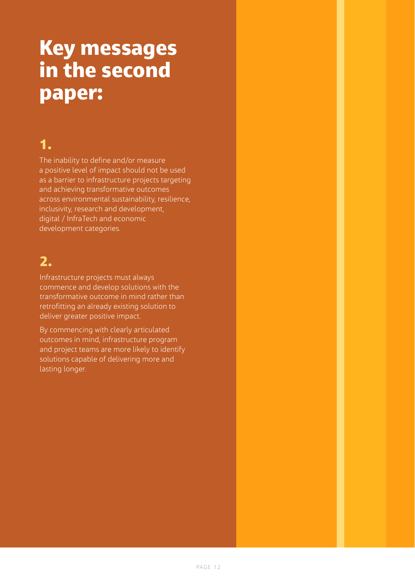# Key messages in the second paper:

## 1.

The inability to define and/or measure a positive level of impact should not be used as a barrier to infrastructure projects targeting and achieving transformative outcomes across environmental sustainability, resilience, inclusivity, research and development, digital / InfraTech and economic development categories.

# 2.

Infrastructure projects must always commence and develop solutions with the transformative outcome in mind rather than retrofitting an already existing solution to deliver greater positive impact.

By commencing with clearly articulated outcomes in mind, infrastructure program and project teams are more likely to identify solutions capable of delivering more and lasting longer.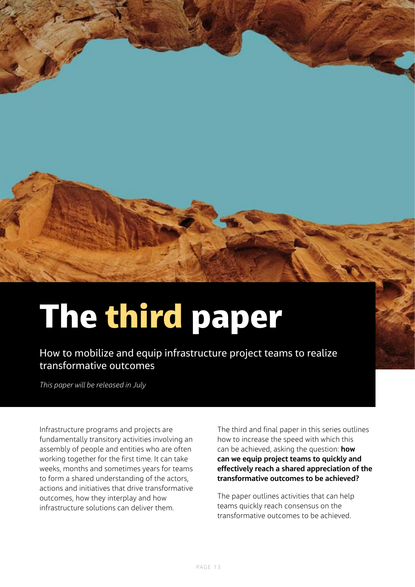

# The third paper

How to mobilize and equip infrastructure project teams to realize transformative outcomes

*This paper will be released in July*

Infrastructure programs and projects are fundamentally transitory activities involving an assembly of people and entities who are often working together for the first time. It can take weeks, months and sometimes years for teams to form a shared understanding of the actors, actions and initiatives that drive transformative outcomes, how they interplay and how infrastructure solutions can deliver them.

The third and final paper in this series outlines how to increase the speed with which this can be achieved, asking the question: **how can we equip project teams to quickly and effectively reach a shared appreciation of the transformative outcomes to be achieved?**

The paper outlines activities that can help teams quickly reach consensus on the transformative outcomes to be achieved.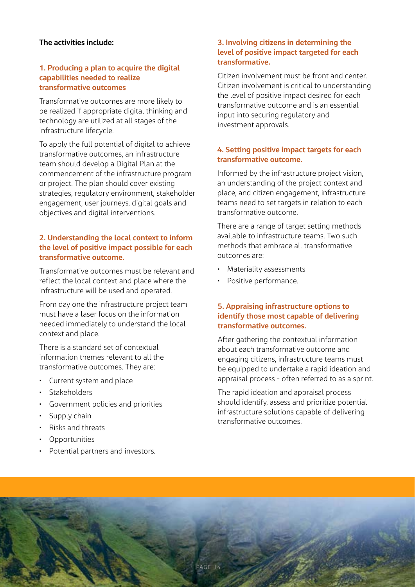### **The activities include:**

### **1. Producing a plan to acquire the digital capabilities needed to realize transformative outcomes**

Transformative outcomes are more likely to be realized if appropriate digital thinking and technology are utilized at all stages of the infrastructure lifecycle.

To apply the full potential of digital to achieve transformative outcomes, an infrastructure team should develop a Digital Plan at the commencement of the infrastructure program or project. The plan should cover existing strategies, regulatory environment, stakeholder engagement, user journeys, digital goals and objectives and digital interventions.

## **2. Understanding the local context to inform the level of positive impact possible for each transformative outcome.**

Transformative outcomes must be relevant and reflect the local context and place where the infrastructure will be used and operated.

From day one the infrastructure project team must have a laser focus on the information needed immediately to understand the local context and place.

There is a standard set of contextual information themes relevant to all the transformative outcomes. They are:

- Current system and place
- Stakeholders
- µ Government policies and priorities
- Supply chain
- µ Risks and threats
- Opportunities
- Potential partners and investors.

## **3. Involving citizens in determining the level of positive impact targeted for each transformative.**

Citizen involvement must be front and center. Citizen involvement is critical to understanding the level of positive impact desired for each transformative outcome and is an essential input into securing regulatory and investment approvals.

## **4. Setting positive impact targets for each transformative outcome.**

Informed by the infrastructure project vision, an understanding of the project context and place, and citizen engagement, infrastructure teams need to set targets in relation to each transformative outcome.

There are a range of target setting methods available to infrastructure teams. Two such methods that embrace all transformative outcomes are:

- Materiality assessments
- Positive performance.

## **5. Appraising infrastructure options to identify those most capable of delivering transformative outcomes.**

After gathering the contextual information about each transformative outcome and engaging citizens, infrastructure teams must be equipped to undertake a rapid ideation and appraisal process - often referred to as a sprint.

The rapid ideation and appraisal process should identify, assess and prioritize potential infrastructure solutions capable of delivering transformative outcomes.

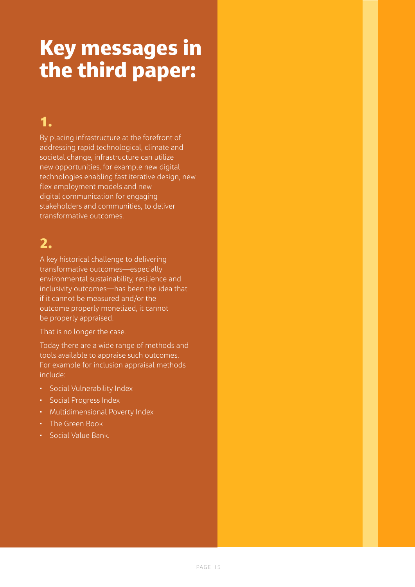# Key messages in the third paper:

# 1.

By placing infrastructure at the forefront of addressing rapid technological, climate and societal change, infrastructure can utilize new opportunities, for example new digital technologies enabling fast iterative design, new flex employment models and new digital communication for engaging stakeholders and communities, to deliver transformative outcomes.

# 2.

A key historical challenge to delivering transformative outcomes—especially environmental sustainability, resilience and inclusivity outcomes—has been the idea that if it cannot be measured and/or the outcome properly monetized, it cannot be properly appraised.

## That is no longer the case.

Today there are a wide range of methods and tools available to appraise such outcomes. For example for inclusion appraisal methods include:

- Social Vulnerability Index
- **·** Social Progress Index
- Multidimensional Poverty Index
- µ The Green Book
- µ Social Value Bank.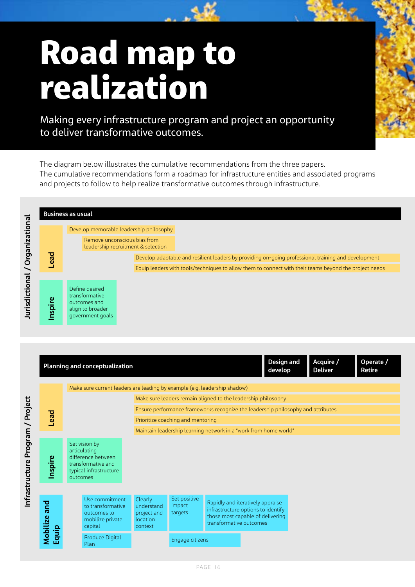# Road map to realization

Making every infrastructure program and project an opportunity to deliver transformative outcomes.

The diagram below illustrates the cumulative recommendations from the three papers. The cumulative recommendations form a roadmap for infrastructure entities and associated programs and projects to follow to help realize transformative outcomes through infrastructure.



|  |              |                                                                                                                 | <b>Planning and conceptualization</b>                                             |                                                             |                                   |                                                                                                                                       |  | <b>Design and</b><br>develop | Acquire /<br><b>Deliver</b> |  | Operate /<br><b>Retire</b> |  |
|--|--------------|-----------------------------------------------------------------------------------------------------------------|-----------------------------------------------------------------------------------|-------------------------------------------------------------|-----------------------------------|---------------------------------------------------------------------------------------------------------------------------------------|--|------------------------------|-----------------------------|--|----------------------------|--|
|  |              | Make sure current leaders are leading by example (e.g. leadership shadow)                                       |                                                                                   |                                                             |                                   |                                                                                                                                       |  |                              |                             |  |                            |  |
|  |              | Make sure leaders remain aligned to the leadership philosophy                                                   |                                                                                   |                                                             |                                   |                                                                                                                                       |  |                              |                             |  |                            |  |
|  | <b>Lead</b>  |                                                                                                                 | Ensure performance frameworks recognize the leadership philosophy and attributes  |                                                             |                                   |                                                                                                                                       |  |                              |                             |  |                            |  |
|  |              | Prioritize coaching and mentoring                                                                               |                                                                                   |                                                             |                                   |                                                                                                                                       |  |                              |                             |  |                            |  |
|  |              | Maintain leadership learning network in a "work from home world"                                                |                                                                                   |                                                             |                                   |                                                                                                                                       |  |                              |                             |  |                            |  |
|  | Inspire      | Set vision by<br>articulating<br>difference between<br>transformative and<br>typical infrastructure<br>outcomes |                                                                                   |                                                             |                                   |                                                                                                                                       |  |                              |                             |  |                            |  |
|  | Mobilize and |                                                                                                                 | Use commitment<br>to transformative<br>outcomes to<br>mobilize private<br>capital | Clearly<br>understand<br>project and<br>location<br>context | Set positive<br>impact<br>targets | Rapidly and iteratively appraise<br>infrastructure options to identify<br>those most capable of delivering<br>transformative outcomes |  |                              |                             |  |                            |  |
|  | Equip        |                                                                                                                 | Produce Digital<br>Plan                                                           |                                                             | Engage citizens                   |                                                                                                                                       |  |                              |                             |  |                            |  |